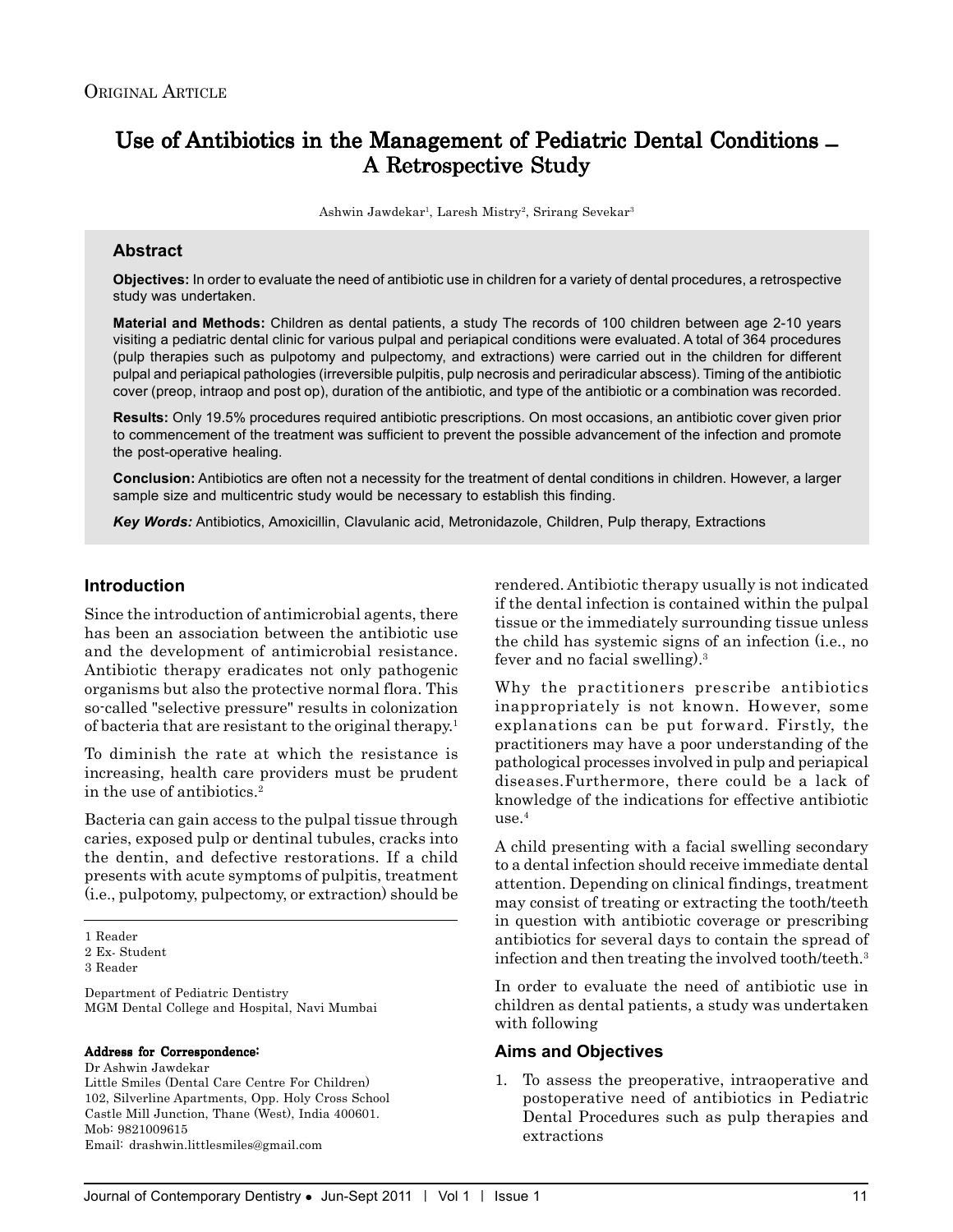# Use of Antibiotics in the Management of Pediatric Dental Conditions  $- A$  Retrospective Study

Ashwin Jawdekar<sup>1</sup>, Laresh Mistry<sup>2</sup>, Srirang Sevekar<sup>3</sup>

# **Abstract**

**Objectives:** In order to evaluate the need of antibiotic use in children for a variety of dental procedures, a retrospective study was undertaken.

**Material and Methods:** Children as dental patients, a study The records of 100 children between age 2-10 years visiting a pediatric dental clinic for various pulpal and periapical conditions were evaluated. A total of 364 procedures (pulp therapies such as pulpotomy and pulpectomy, and extractions) were carried out in the children for different pulpal and periapical pathologies (irreversible pulpitis, pulp necrosis and periradicular abscess). Timing of the antibiotic cover (preop, intraop and post op), duration of the antibiotic, and type of the antibiotic or a combination was recorded.

**Results:** Only 19.5% procedures required antibiotic prescriptions. On most occasions, an antibiotic cover given prior to commencement of the treatment was sufficient to prevent the possible advancement of the infection and promote the post-operative healing.

**Conclusion:** Antibiotics are often not a necessity for the treatment of dental conditions in children. However, a larger sample size and multicentric study would be necessary to establish this finding.

*Key Words:* Antibiotics, Amoxicillin, Clavulanic acid, Metronidazole, Children, Pulp therapy, Extractions

### **Introduction**

Since the introduction of antimicrobial agents, there has been an association between the antibiotic use and the development of antimicrobial resistance. Antibiotic therapy eradicates not only pathogenic organisms but also the protective normal flora. This so-called "selective pressure" results in colonization of bacteria that are resistant to the original therapy.1

To diminish the rate at which the resistance is increasing, health care providers must be prudent in the use of antibiotics.2

Bacteria can gain access to the pulpal tissue through caries, exposed pulp or dentinal tubules, cracks into the dentin, and defective restorations. If a child presents with acute symptoms of pulpitis, treatment (i.e., pulpotomy, pulpectomy, or extraction) should be

Department of Pediatric Dentistry MGM Dental College and Hospital, Navi Mumbai

#### Address for Correspondence:

Dr Ashwin Jawdekar Little Smiles (Dental Care Centre For Children) 102, Silverline Apartments, Opp. Holy Cross School Castle Mill Junction, Thane (West), India 400601. Mob: 9821009615 Email: drashwin.littlesmiles@gmail.com

rendered. Antibiotic therapy usually is not indicated if the dental infection is contained within the pulpal tissue or the immediately surrounding tissue unless the child has systemic signs of an infection (i.e., no fever and no facial swelling).3

Why the practitioners prescribe antibiotics inappropriately is not known. However, some explanations can be put forward. Firstly, the practitioners may have a poor understanding of the pathological processes involved in pulp and periapical diseases.Furthermore, there could be a lack of knowledge of the indications for effective antibiotic  $use<sup>4</sup>$ 

A child presenting with a facial swelling secondary to a dental infection should receive immediate dental attention. Depending on clinical findings, treatment may consist of treating or extracting the tooth/teeth in question with antibiotic coverage or prescribing antibiotics for several days to contain the spread of infection and then treating the involved tooth/teeth.<sup>3</sup>

In order to evaluate the need of antibiotic use in children as dental patients, a study was undertaken with following

#### **Aims and Objectives**

1. To assess the preoperative, intraoperative and postoperative need of antibiotics in Pediatric Dental Procedures such as pulp therapies and extractions

<sup>1</sup> Reader

<sup>2</sup> Ex- Student

<sup>3</sup> Reader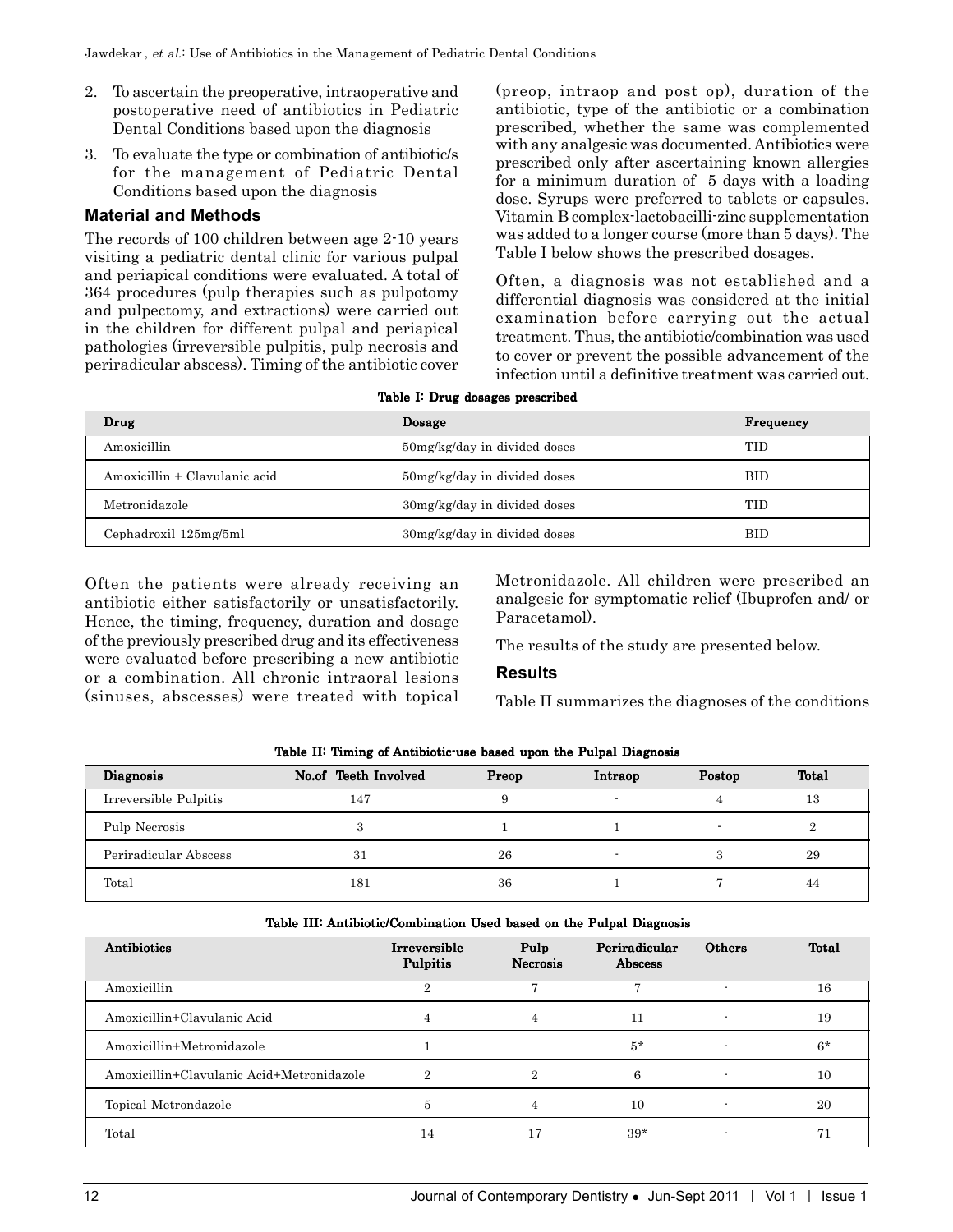- 2. To ascertain the preoperative, intraoperative and postoperative need of antibiotics in Pediatric Dental Conditions based upon the diagnosis
- 3. To evaluate the type or combination of antibiotic/s for the management of Pediatric Dental Conditions based upon the diagnosis

# **Material and Methods**

The records of 100 children between age 2-10 years visiting a pediatric dental clinic for various pulpal and periapical conditions were evaluated. A total of 364 procedures (pulp therapies such as pulpotomy and pulpectomy, and extractions) were carried out in the children for different pulpal and periapical pathologies (irreversible pulpitis, pulp necrosis and periradicular abscess). Timing of the antibiotic cover

(preop, intraop and post op), duration of the antibiotic, type of the antibiotic or a combination prescribed, whether the same was complemented with any analgesic was documented. Antibiotics were prescribed only after ascertaining known allergies for a minimum duration of 5 days with a loading dose. Syrups were preferred to tablets or capsules. Vitamin B complex-lactobacilli-zinc supplementation was added to a longer course (more than 5 days). The Table I below shows the prescribed dosages.

Often, a diagnosis was not established and a differential diagnosis was considered at the initial examination before carrying out the actual treatment. Thus, the antibiotic/combination was used to cover or prevent the possible advancement of the infection until a definitive treatment was carried out.

|  |  |  | Table I: Drug dosages prescribed |
|--|--|--|----------------------------------|
|--|--|--|----------------------------------|

| Drug                          | Dosage                       | <b>Frequency</b> |
|-------------------------------|------------------------------|------------------|
| Amoxicillin                   | 50mg/kg/day in divided doses | TID              |
| Amoxicillin + Clavulanic acid | 50mg/kg/day in divided doses | <b>BID</b>       |
| Metronidazole                 | 30mg/kg/day in divided doses | TID              |
| Cephadroxil 125mg/5ml         | 30mg/kg/day in divided doses | <b>BID</b>       |

Often the patients were already receiving an antibiotic either satisfactorily or unsatisfactorily. Hence, the timing, frequency, duration and dosage of the previously prescribed drug and its effectiveness were evaluated before prescribing a new antibiotic or a combination. All chronic intraoral lesions (sinuses, abscesses) were treated with topical Metronidazole. All children were prescribed an analgesic for symptomatic relief (Ibuprofen and/ or Paracetamol).

The results of the study are presented below.

## **Results**

Table II summarizes the diagnoses of the conditions

| <b>Diagnosis</b>      | No.of Teeth Involved | Preop | Intraop | Postop | Total |
|-----------------------|----------------------|-------|---------|--------|-------|
| Irreversible Pulpitis | 147                  |       |         |        | 13    |
| Pulp Necrosis         | з                    |       |         |        | ິ     |
| Periradicular Abscess | 31                   | 26    |         |        | 29    |
| Total                 | 181                  | 36    |         |        | 44    |

#### Table II: Timing of Antibiotic-use based upon the Pulpal Diagnosis

| Table III: Antibiotic/Combination Used based on the Pulpal Diagnosis |  |  |  |  |  |
|----------------------------------------------------------------------|--|--|--|--|--|
|----------------------------------------------------------------------|--|--|--|--|--|

| Antibiotics                               | Irreversible<br>Pulpitis | Pulp<br><b>Necrosis</b> | Periradicular<br>Abscess | Others         | Total |
|-------------------------------------------|--------------------------|-------------------------|--------------------------|----------------|-------|
| Amoxicillin                               | 9.                       |                         |                          | $\overline{a}$ | 16    |
| Amoxicillin+Clavulanic Acid               |                          | 4                       | 11                       |                | 19    |
| Amoxicillin+Metronidazole                 |                          |                         | $5*$                     |                | $6*$  |
| Amoxicillin+Clavulanic Acid+Metronidazole | 2                        | 2                       | 6                        |                | 10    |
| Topical Metrondazole                      | 5                        | 4                       | 10                       |                | 20    |
| Total                                     | 14                       |                         | $39*$                    |                |       |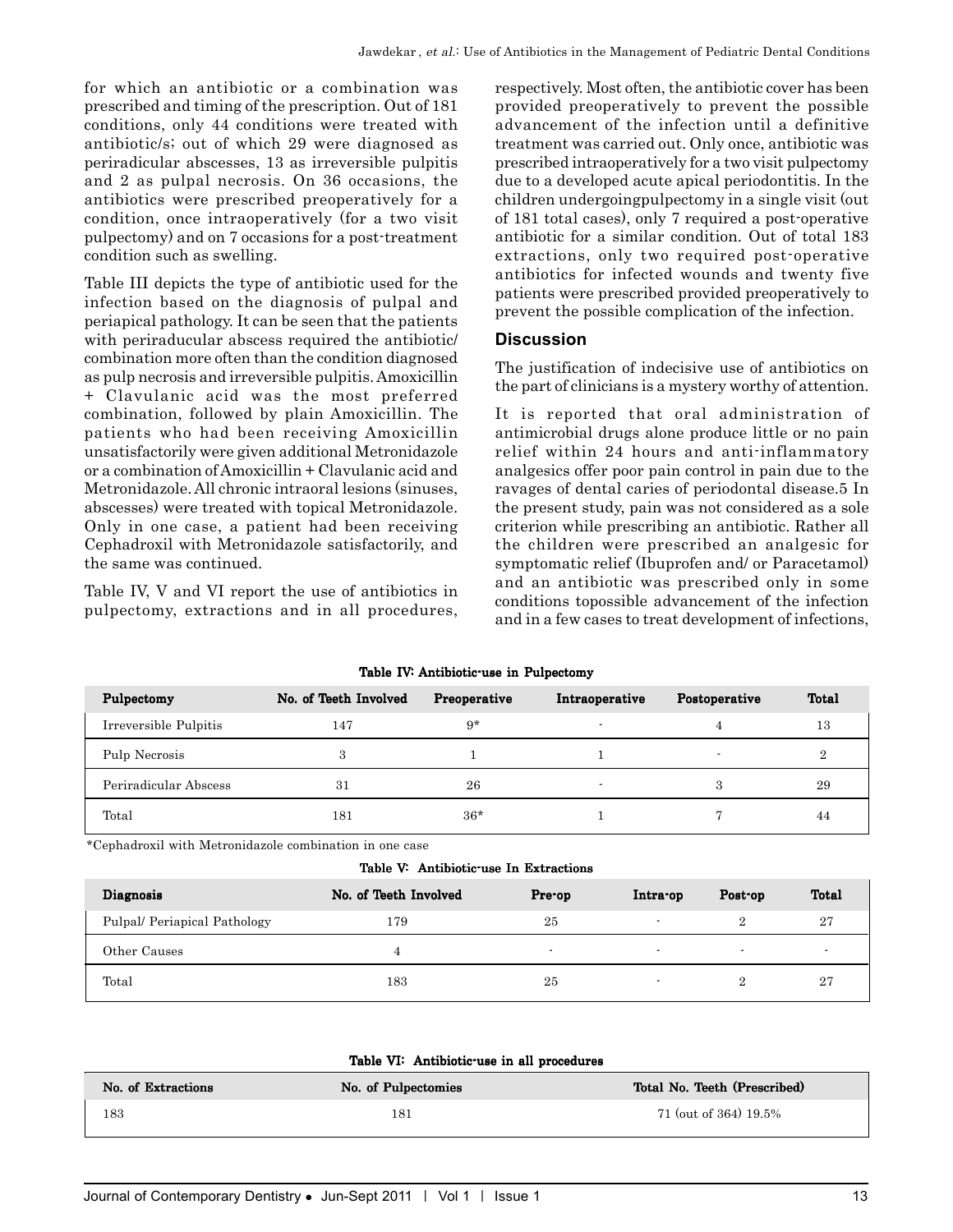for which an antibiotic or a combination was prescribed and timing of the prescription. Out of 181 conditions, only 44 conditions were treated with antibiotic/s; out of which 29 were diagnosed as periradicular abscesses, 13 as irreversible pulpitis and 2 as pulpal necrosis. On 36 occasions, the antibiotics were prescribed preoperatively for a condition, once intraoperatively (for a two visit pulpectomy) and on 7 occasions for a post-treatment condition such as swelling.

Table III depicts the type of antibiotic used for the infection based on the diagnosis of pulpal and periapical pathology. It can be seen that the patients with periraducular abscess required the antibiotic/ combination more often than the condition diagnosed as pulp necrosis and irreversible pulpitis. Amoxicillin + Clavulanic acid was the most preferred combination, followed by plain Amoxicillin. The patients who had been receiving Amoxicillin unsatisfactorily were given additional Metronidazole or a combination of Amoxicillin + Clavulanic acid and Metronidazole. All chronic intraoral lesions (sinuses, abscesses) were treated with topical Metronidazole. Only in one case, a patient had been receiving Cephadroxil with Metronidazole satisfactorily, and the same was continued.

Table IV, V and VI report the use of antibiotics in pulpectomy, extractions and in all procedures,

respectively. Most often, the antibiotic cover has been provided preoperatively to prevent the possible advancement of the infection until a definitive treatment was carried out. Only once, antibiotic was prescribed intraoperatively for a two visit pulpectomy due to a developed acute apical periodontitis. In the children undergoingpulpectomy in a single visit (out of 181 total cases), only 7 required a post-operative antibiotic for a similar condition. Out of total 183 extractions, only two required post-operative antibiotics for infected wounds and twenty five patients were prescribed provided preoperatively to prevent the possible complication of the infection.

#### **Discussion**

The justification of indecisive use of antibiotics on the part of clinicians is a mystery worthy of attention.

It is reported that oral administration of antimicrobial drugs alone produce little or no pain relief within 24 hours and anti-inflammatory analgesics offer poor pain control in pain due to the ravages of dental caries of periodontal disease.5 In the present study, pain was not considered as a sole criterion while prescribing an antibiotic. Rather all the children were prescribed an analgesic for symptomatic relief (Ibuprofen and/ or Paracetamol) and an antibiotic was prescribed only in some conditions topossible advancement of the infection and in a few cases to treat development of infections,

| Table IV Antibiotic use in Pulpectomy |                       |              |                |               |       |  |
|---------------------------------------|-----------------------|--------------|----------------|---------------|-------|--|
| Pulpectomy                            | No. of Teeth Involved | Preoperative | Intraoperative | Postoperative | Total |  |
| Irreversible Pulpitis                 | 147                   | $9*$         |                |               | 13    |  |
| Pulp Necrosis                         | 3                     |              |                |               |       |  |
| Periradicular Abscess                 | 31                    | 26           |                | 3             | 29    |  |
| Total                                 | 181                   | $36*$        |                |               | 44    |  |

Table IV: Antibiotic-use in Pulpectomy

\*Cephadroxil with Metronidazole combination in one case

| Diagnosis                   | No. of Teeth Involved | Pre-op                   | Intra-op                 | Post-op                  | Total                    |
|-----------------------------|-----------------------|--------------------------|--------------------------|--------------------------|--------------------------|
| Pulpal/Periapical Pathology | 179                   | 25                       | $\overline{\phantom{a}}$ | $\Omega$                 | 27                       |
| Other Causes                |                       | $\overline{\phantom{a}}$ | $\overline{\phantom{a}}$ | $\overline{\phantom{a}}$ | $\overline{\phantom{a}}$ |
| Total                       | 183                   | 25                       | $\overline{a}$           |                          | 27                       |

| No. of Extractions | No. of Pulpectomies | Total No. Teeth (Prescribed) |
|--------------------|---------------------|------------------------------|
| 183                | 181                 | 71 (out of 364) 19.5%        |